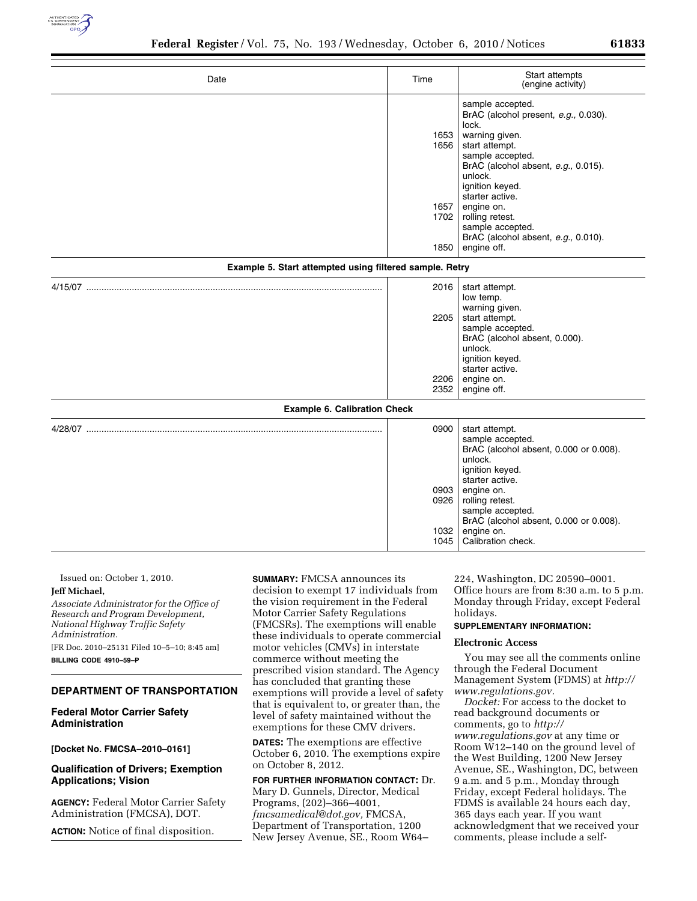

| Date                                                    | Time                         | Start attempts<br>(engine activity)                                                                                                                                                                |
|---------------------------------------------------------|------------------------------|----------------------------------------------------------------------------------------------------------------------------------------------------------------------------------------------------|
|                                                         | 1653<br>1656                 | sample accepted.<br>BrAC (alcohol present, e.g., 0.030).<br>lock.<br>warning given.<br>start attempt.<br>sample accepted.<br>BrAC (alcohol absent, e.g., 0.015).<br>unlock.                        |
|                                                         | 1657<br>1702<br>1850         | ignition keyed.<br>starter active.<br>engine on.<br>rolling retest.<br>sample accepted.<br>BrAC (alcohol absent, e.g., 0.010).<br>engine off.                                                      |
| Example 5. Start attempted using filtered sample. Retry |                              |                                                                                                                                                                                                    |
|                                                         | 2016<br>2205<br>2206<br>2352 | start attempt.<br>low temp.<br>warning given.<br>start attempt.<br>sample accepted.<br>BrAC (alcohol absent, 0.000).<br>unlock.<br>ignition keyed.<br>starter active.<br>engine on.<br>engine off. |
| <b>Example 6. Calibration Check</b>                     |                              |                                                                                                                                                                                                    |
|                                                         | 0900                         | start attempt.<br>sample accepted.<br>BrAC (alcohol absent, 0.000 or 0.008).<br>unlock.                                                                                                            |

| 0903<br>0926<br>1032<br>1045 | ignition keyed.<br>starter active.<br>engine on.<br>rolling retest.<br>sample accepted.<br>BrAC (alcohol absent, 0.000 or 0.008).<br>engine on.<br>Calibration check. |
|------------------------------|-----------------------------------------------------------------------------------------------------------------------------------------------------------------------|
|                              |                                                                                                                                                                       |

Issued on: October 1, 2010. **Jeff Michael,** 

### *Associate Administrator for the Office of Research and Program Development, National Highway Traffic Safety Administration.*

[FR Doc. 2010–25131 Filed 10–5–10; 8:45 am] **BILLING CODE 4910–59–P** 

### **DEPARTMENT OF TRANSPORTATION**

# **Federal Motor Carrier Safety Administration**

**[Docket No. FMCSA–2010–0161]** 

# **Qualification of Drivers; Exemption Applications; Vision**

**AGENCY:** Federal Motor Carrier Safety Administration (FMCSA), DOT.

**ACTION:** Notice of final disposition.

**SUMMARY:** FMCSA announces its decision to exempt 17 individuals from the vision requirement in the Federal Motor Carrier Safety Regulations (FMCSRs). The exemptions will enable these individuals to operate commercial motor vehicles (CMVs) in interstate commerce without meeting the prescribed vision standard. The Agency has concluded that granting these exemptions will provide a level of safety that is equivalent to, or greater than, the level of safety maintained without the exemptions for these CMV drivers.

**DATES:** The exemptions are effective October 6, 2010. The exemptions expire on October 8, 2012.

**FOR FURTHER INFORMATION CONTACT:** Dr. Mary D. Gunnels, Director, Medical Programs, (202)–366–4001, *[fmcsamedical@dot.gov,](mailto:fmcsamedical@dot.gov)* FMCSA, Department of Transportation, 1200 New Jersey Avenue, SE., Room W64–

224, Washington, DC 20590–0001. Office hours are from 8:30 a.m. to 5 p.m. Monday through Friday, except Federal holidays.

# **SUPPLEMENTARY INFORMATION:**

### **Electronic Access**

You may see all the comments online through the Federal Document Management System (FDMS) at *[http://](http://www.regulations.gov)  [www.regulations.gov.](http://www.regulations.gov)* 

*Docket:* For access to the docket to read background documents or comments, go to *[http://](http://www.regulations.gov) [www.regulations.gov](http://www.regulations.gov)* at any time or Room W12–140 on the ground level of the West Building, 1200 New Jersey Avenue, SE., Washington, DC, between 9 a.m. and 5 p.m., Monday through Friday, except Federal holidays. The FDMS is available 24 hours each day, 365 days each year. If you want acknowledgment that we received your comments, please include a self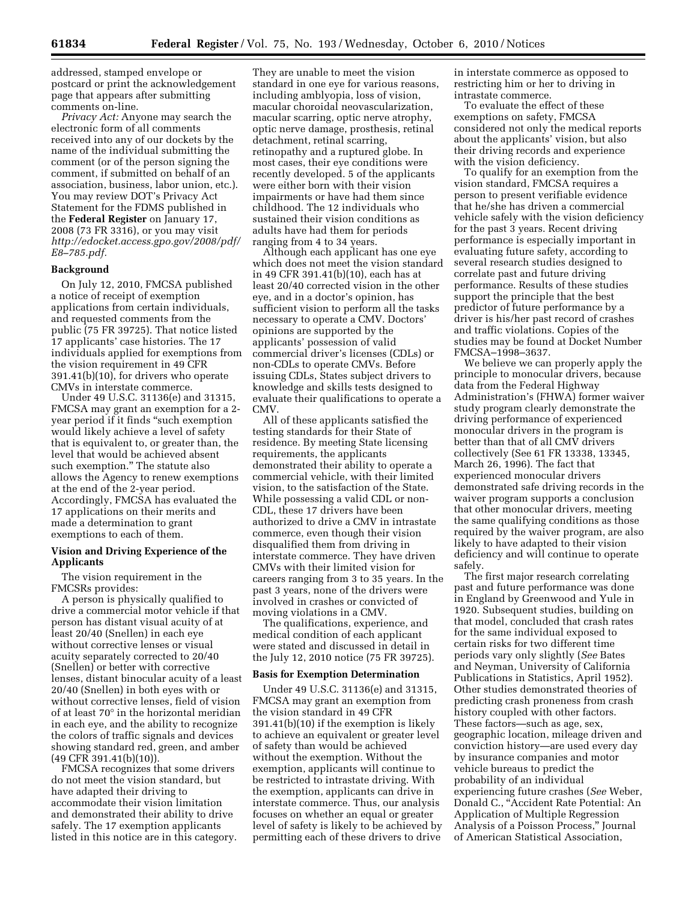addressed, stamped envelope or postcard or print the acknowledgement page that appears after submitting comments on-line.

*Privacy Act:* Anyone may search the electronic form of all comments received into any of our dockets by the name of the individual submitting the comment (or of the person signing the comment, if submitted on behalf of an association, business, labor union, etc.). You may review DOT's Privacy Act Statement for the FDMS published in the **Federal Register** on January 17, 2008 (73 FR 3316), or you may visit *[http://edocket.access.gpo.gov/2008/pdf/](http://edocket.access.gpo.gov/2008/pdf/E8-785.pdf) [E8–785.pdf.](http://edocket.access.gpo.gov/2008/pdf/E8-785.pdf)* 

### **Background**

On July 12, 2010, FMCSA published a notice of receipt of exemption applications from certain individuals, and requested comments from the public (75 FR 39725). That notice listed 17 applicants' case histories. The 17 individuals applied for exemptions from the vision requirement in 49 CFR 391.41(b)(10), for drivers who operate CMVs in interstate commerce.

Under 49 U.S.C. 31136(e) and 31315, FMCSA may grant an exemption for a 2 year period if it finds ''such exemption would likely achieve a level of safety that is equivalent to, or greater than, the level that would be achieved absent such exemption.'' The statute also allows the Agency to renew exemptions at the end of the 2-year period. Accordingly, FMCSA has evaluated the 17 applications on their merits and made a determination to grant exemptions to each of them.

### **Vision and Driving Experience of the Applicants**

The vision requirement in the FMCSRs provides:

A person is physically qualified to drive a commercial motor vehicle if that person has distant visual acuity of at least 20/40 (Snellen) in each eye without corrective lenses or visual acuity separately corrected to 20/40 (Snellen) or better with corrective lenses, distant binocular acuity of a least 20/40 (Snellen) in both eyes with or without corrective lenses, field of vision of at least 70° in the horizontal meridian in each eye, and the ability to recognize the colors of traffic signals and devices showing standard red, green, and amber (49 CFR 391.41(b)(10)).

FMCSA recognizes that some drivers do not meet the vision standard, but have adapted their driving to accommodate their vision limitation and demonstrated their ability to drive safely. The 17 exemption applicants listed in this notice are in this category.

They are unable to meet the vision standard in one eye for various reasons, including amblyopia, loss of vision, macular choroidal neovascularization, macular scarring, optic nerve atrophy, optic nerve damage, prosthesis, retinal detachment, retinal scarring, retinopathy and a ruptured globe. In most cases, their eye conditions were recently developed. 5 of the applicants were either born with their vision impairments or have had them since childhood. The 12 individuals who sustained their vision conditions as adults have had them for periods ranging from 4 to 34 years.

Although each applicant has one eye which does not meet the vision standard in 49 CFR 391.41(b)(10), each has at least 20/40 corrected vision in the other eye, and in a doctor's opinion, has sufficient vision to perform all the tasks necessary to operate a CMV. Doctors' opinions are supported by the applicants' possession of valid commercial driver's licenses (CDLs) or non-CDLs to operate CMVs. Before issuing CDLs, States subject drivers to knowledge and skills tests designed to evaluate their qualifications to operate a CMV.

All of these applicants satisfied the testing standards for their State of residence. By meeting State licensing requirements, the applicants demonstrated their ability to operate a commercial vehicle, with their limited vision, to the satisfaction of the State. While possessing a valid CDL or non-CDL, these 17 drivers have been authorized to drive a CMV in intrastate commerce, even though their vision disqualified them from driving in interstate commerce. They have driven CMVs with their limited vision for careers ranging from 3 to 35 years. In the past 3 years, none of the drivers were involved in crashes or convicted of moving violations in a CMV.

The qualifications, experience, and medical condition of each applicant were stated and discussed in detail in the July 12, 2010 notice (75 FR 39725).

#### **Basis for Exemption Determination**

Under 49 U.S.C. 31136(e) and 31315, FMCSA may grant an exemption from the vision standard in 49 CFR 391.41(b)(10) if the exemption is likely to achieve an equivalent or greater level of safety than would be achieved without the exemption. Without the exemption, applicants will continue to be restricted to intrastate driving. With the exemption, applicants can drive in interstate commerce. Thus, our analysis focuses on whether an equal or greater level of safety is likely to be achieved by permitting each of these drivers to drive in interstate commerce as opposed to restricting him or her to driving in intrastate commerce.

To evaluate the effect of these exemptions on safety, FMCSA considered not only the medical reports about the applicants' vision, but also their driving records and experience with the vision deficiency.

To qualify for an exemption from the vision standard, FMCSA requires a person to present verifiable evidence that he/she has driven a commercial vehicle safely with the vision deficiency for the past 3 years. Recent driving performance is especially important in evaluating future safety, according to several research studies designed to correlate past and future driving performance. Results of these studies support the principle that the best predictor of future performance by a driver is his/her past record of crashes and traffic violations. Copies of the studies may be found at Docket Number FMCSA–1998–3637.

We believe we can properly apply the principle to monocular drivers, because data from the Federal Highway Administration's (FHWA) former waiver study program clearly demonstrate the driving performance of experienced monocular drivers in the program is better than that of all CMV drivers collectively (See 61 FR 13338, 13345, March 26, 1996). The fact that experienced monocular drivers demonstrated safe driving records in the waiver program supports a conclusion that other monocular drivers, meeting the same qualifying conditions as those required by the waiver program, are also likely to have adapted to their vision deficiency and will continue to operate safely.

The first major research correlating past and future performance was done in England by Greenwood and Yule in 1920. Subsequent studies, building on that model, concluded that crash rates for the same individual exposed to certain risks for two different time periods vary only slightly (*See* Bates and Neyman, University of California Publications in Statistics, April 1952). Other studies demonstrated theories of predicting crash proneness from crash history coupled with other factors. These factors—such as age, sex, geographic location, mileage driven and conviction history—are used every day by insurance companies and motor vehicle bureaus to predict the probability of an individual experiencing future crashes (*See* Weber, Donald C., ''Accident Rate Potential: An Application of Multiple Regression Analysis of a Poisson Process,'' Journal of American Statistical Association,